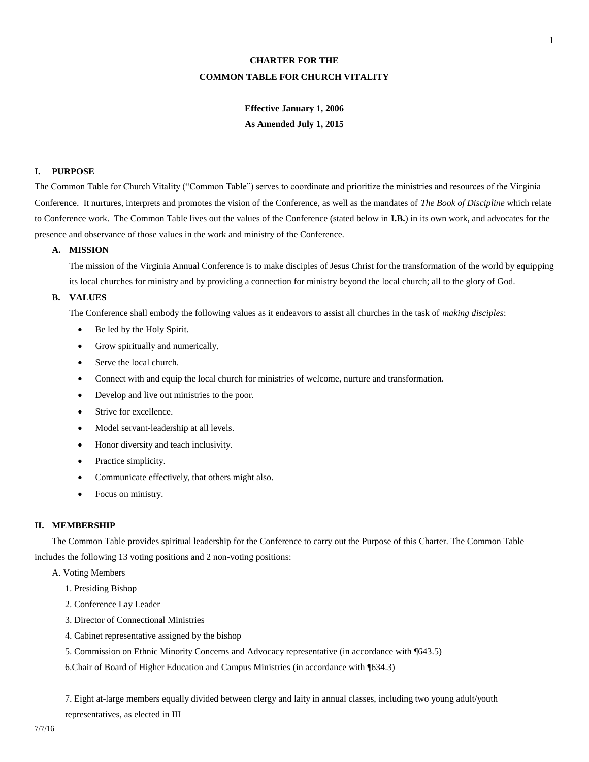# **CHARTER FOR THE COMMON TABLE FOR CHURCH VITALITY**

# **Effective January 1, 2006 As Amended July 1, 2015**

## **I. PURPOSE**

The Common Table for Church Vitality ("Common Table") serves to coordinate and prioritize the ministries and resources of the Virginia Conference. It nurtures, interprets and promotes the vision of the Conference, as well as the mandates of *The Book of Discipline* which relate to Conference work. The Common Table lives out the values of the Conference (stated below in **I.B.**) in its own work, and advocates for the presence and observance of those values in the work and ministry of the Conference.

# **A. MISSION**

The mission of the Virginia Annual Conference is to make disciples of Jesus Christ for the transformation of the world by equipping its local churches for ministry and by providing a connection for ministry beyond the local church; all to the glory of God.

## **B. VALUES**

The Conference shall embody the following values as it endeavors to assist all churches in the task of *making disciples*:

- Be led by the Holy Spirit.
- Grow spiritually and numerically.
- Serve the local church.
- Connect with and equip the local church for ministries of welcome, nurture and transformation.
- Develop and live out ministries to the poor.
- Strive for excellence.
- Model servant-leadership at all levels.
- Honor diversity and teach inclusivity.
- Practice simplicity.
- Communicate effectively, that others might also.
- Focus on ministry.

## **II. MEMBERSHIP**

The Common Table provides spiritual leadership for the Conference to carry out the Purpose of this Charter. The Common Table includes the following 13 voting positions and 2 non-voting positions:

## A. Voting Members

- 1. Presiding Bishop
- 2. Conference Lay Leader
- 3. Director of Connectional Ministries
- 4. Cabinet representative assigned by the bishop
- 5. Commission on Ethnic Minority Concerns and Advocacy representative (in accordance with ¶643.5)

6.Chair of Board of Higher Education and Campus Ministries (in accordance with ¶634.3)

7. Eight at-large members equally divided between clergy and laity in annual classes, including two young adult/youth representatives, as elected in III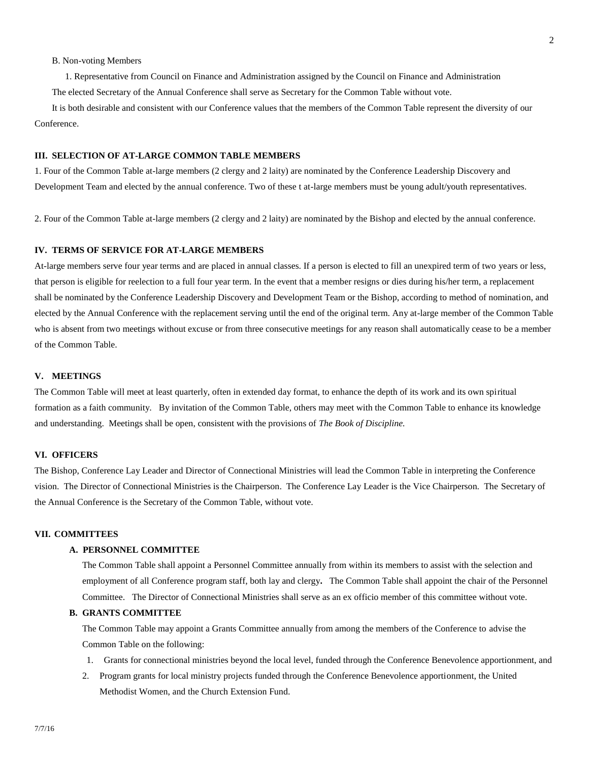#### B. Non-voting Members

1. Representative from Council on Finance and Administration assigned by the Council on Finance and Administration

The elected Secretary of the Annual Conference shall serve as Secretary for the Common Table without vote.

It is both desirable and consistent with our Conference values that the members of the Common Table represent the diversity of our Conference.

# **III. SELECTION OF AT-LARGE COMMON TABLE MEMBERS**

1. Four of the Common Table at-large members (2 clergy and 2 laity) are nominated by the Conference Leadership Discovery and Development Team and elected by the annual conference. Two of these t at-large members must be young adult/youth representatives.

2. Four of the Common Table at-large members (2 clergy and 2 laity) are nominated by the Bishop and elected by the annual conference.

# **IV. TERMS OF SERVICE FOR AT-LARGE MEMBERS**

At-large members serve four year terms and are placed in annual classes. If a person is elected to fill an unexpired term of two years or less, that person is eligible for reelection to a full four year term. In the event that a member resigns or dies during his/her term, a replacement shall be nominated by the Conference Leadership Discovery and Development Team or the Bishop, according to method of nomination, and elected by the Annual Conference with the replacement serving until the end of the original term. Any at-large member of the Common Table who is absent from two meetings without excuse or from three consecutive meetings for any reason shall automatically cease to be a member of the Common Table.

## **V. MEETINGS**

The Common Table will meet at least quarterly, often in extended day format, to enhance the depth of its work and its own spiritual formation as a faith community. By invitation of the Common Table, others may meet with the Common Table to enhance its knowledge and understanding. Meetings shall be open, consistent with the provisions of *The Book of Discipline.* 

## **VI. OFFICERS**

The Bishop, Conference Lay Leader and Director of Connectional Ministries will lead the Common Table in interpreting the Conference vision. The Director of Connectional Ministries is the Chairperson. The Conference Lay Leader is the Vice Chairperson. The Secretary of the Annual Conference is the Secretary of the Common Table, without vote.

#### **VII. COMMITTEES**

## **A. PERSONNEL COMMITTEE**

The Common Table shall appoint a Personnel Committee annually from within its members to assist with the selection and employment of all Conference program staff, both lay and clergy**.** The Common Table shall appoint the chair of the Personnel Committee. The Director of Connectional Ministries shall serve as an ex officio member of this committee without vote.

#### **B. GRANTS COMMITTEE**

The Common Table may appoint a Grants Committee annually from among the members of the Conference to advise the Common Table on the following:

- 1. Grants for connectional ministries beyond the local level, funded through the Conference Benevolence apportionment, and
- 2. Program grants for local ministry projects funded through the Conference Benevolence apportionment, the United Methodist Women, and the Church Extension Fund.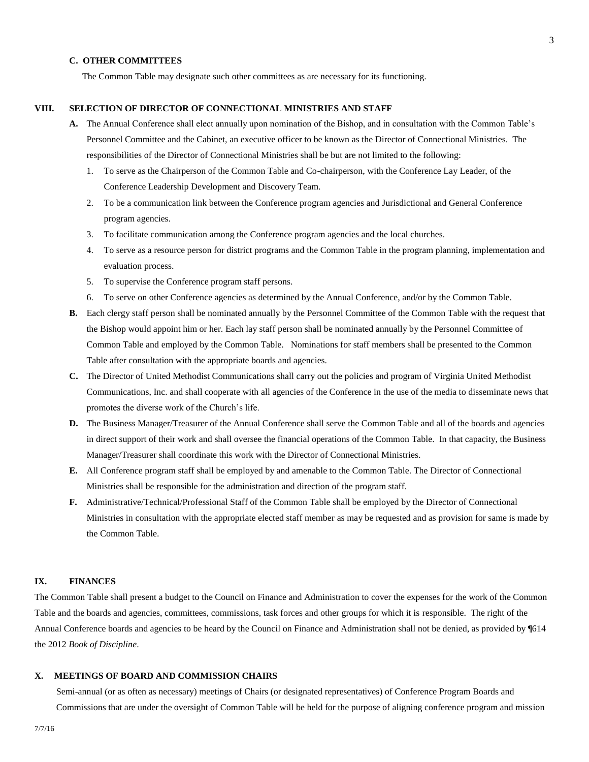## **C. OTHER COMMITTEES**

The Common Table may designate such other committees as are necessary for its functioning.

## **VIII. SELECTION OF DIRECTOR OF CONNECTIONAL MINISTRIES AND STAFF**

- **A.** The Annual Conference shall elect annually upon nomination of the Bishop, and in consultation with the Common Table's Personnel Committee and the Cabinet, an executive officer to be known as the Director of Connectional Ministries. The responsibilities of the Director of Connectional Ministries shall be but are not limited to the following:
	- 1. To serve as the Chairperson of the Common Table and Co-chairperson, with the Conference Lay Leader, of the Conference Leadership Development and Discovery Team.
	- 2. To be a communication link between the Conference program agencies and Jurisdictional and General Conference program agencies.
	- 3. To facilitate communication among the Conference program agencies and the local churches.
	- 4. To serve as a resource person for district programs and the Common Table in the program planning, implementation and evaluation process.
	- 5. To supervise the Conference program staff persons.
	- 6. To serve on other Conference agencies as determined by the Annual Conference, and/or by the Common Table.
- **B.** Each clergy staff person shall be nominated annually by the Personnel Committee of the Common Table with the request that the Bishop would appoint him or her. Each lay staff person shall be nominated annually by the Personnel Committee of Common Table and employed by the Common Table.Nominations for staff members shall be presented to the Common Table after consultation with the appropriate boards and agencies.
- **C.** The Director of United Methodist Communications shall carry out the policies and program of Virginia United Methodist Communications, Inc. and shall cooperate with all agencies of the Conference in the use of the media to disseminate news that promotes the diverse work of the Church's life.
- **D.** The Business Manager/Treasurer of the Annual Conference shall serve the Common Table and all of the boards and agencies in direct support of their work and shall oversee the financial operations of the Common Table. In that capacity, the Business Manager/Treasurer shall coordinate this work with the Director of Connectional Ministries.
- **E.** All Conference program staff shall be employed by and amenable to the Common Table. The Director of Connectional Ministries shall be responsible for the administration and direction of the program staff.
- **F.** Administrative/Technical/Professional Staff of the Common Table shall be employed by the Director of Connectional Ministries in consultation with the appropriate elected staff member as may be requested and as provision for same is made by the Common Table.

# **IX. FINANCES**

The Common Table shall present a budget to the Council on Finance and Administration to cover the expenses for the work of the Common Table and the boards and agencies, committees, commissions, task forces and other groups for which it is responsible. The right of the Annual Conference boards and agencies to be heard by the Council on Finance and Administration shall not be denied, as provided by ¶614 the 2012 *Book of Discipline*.

#### **X. MEETINGS OF BOARD AND COMMISSION CHAIRS**

Semi-annual (or as often as necessary) meetings of Chairs (or designated representatives) of Conference Program Boards and Commissions that are under the oversight of Common Table will be held for the purpose of aligning conference program and mission